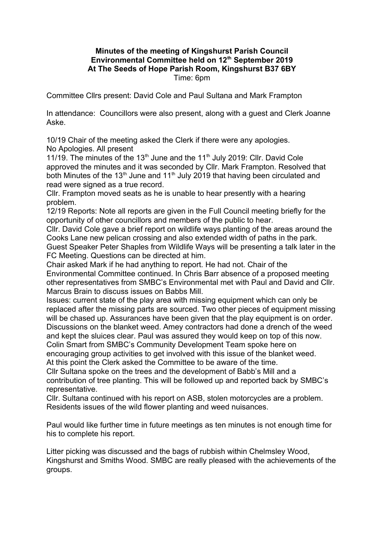## **Minutes of the meeting of Kingshurst Parish Council Environmental Committee held on 12th September 2019 At The Seeds of Hope Parish Room, Kingshurst B37 6BY**  Time: 6pm

Committee Cllrs present: David Cole and Paul Sultana and Mark Frampton

In attendance: Councillors were also present, along with a guest and Clerk Joanne Aske.

10/19 Chair of the meeting asked the Clerk if there were any apologies. No Apologies. All present

11/19. The minutes of the 13<sup>th</sup> June and the 11<sup>th</sup> July 2019: Cllr. David Cole approved the minutes and it was seconded by Cllr. Mark Frampton. Resolved that both Minutes of the 13<sup>th</sup> June and 11<sup>th</sup> July 2019 that having been circulated and read were signed as a true record.

Cllr. Frampton moved seats as he is unable to hear presently with a hearing problem.

12/19 Reports: Note all reports are given in the Full Council meeting briefly for the opportunity of other councillors and members of the public to hear.

Cllr. David Cole gave a brief report on wildlife ways planting of the areas around the Cooks Lane new pelican crossing and also extended width of paths in the park. Guest Speaker Peter Shaples from Wildlife Ways will be presenting a talk later in the FC Meeting. Questions can be directed at him.

Chair asked Mark if he had anything to report. He had not. Chair of the Environmental Committee continued. In Chris Barr absence of a proposed meeting other representatives from SMBC's Environmental met with Paul and David and Cllr. Marcus Brain to discuss issues on Babbs Mill.

Issues: current state of the play area with missing equipment which can only be replaced after the missing parts are sourced. Two other pieces of equipment missing will be chased up. Assurances have been given that the play equipment is on order. Discussions on the blanket weed. Amey contractors had done a drench of the weed and kept the sluices clear. Paul was assured they would keep on top of this now. Colin Smart from SMBC's Community Development Team spoke here on encouraging group activities to get involved with this issue of the blanket weed.

At this point the Clerk asked the Committee to be aware of the time.

Cllr Sultana spoke on the trees and the development of Babb's Mill and a contribution of tree planting. This will be followed up and reported back by SMBC's representative.

Cllr. Sultana continued with his report on ASB, stolen motorcycles are a problem. Residents issues of the wild flower planting and weed nuisances.

Paul would like further time in future meetings as ten minutes is not enough time for his to complete his report.

Litter picking was discussed and the bags of rubbish within Chelmsley Wood, Kingshurst and Smiths Wood. SMBC are really pleased with the achievements of the groups.